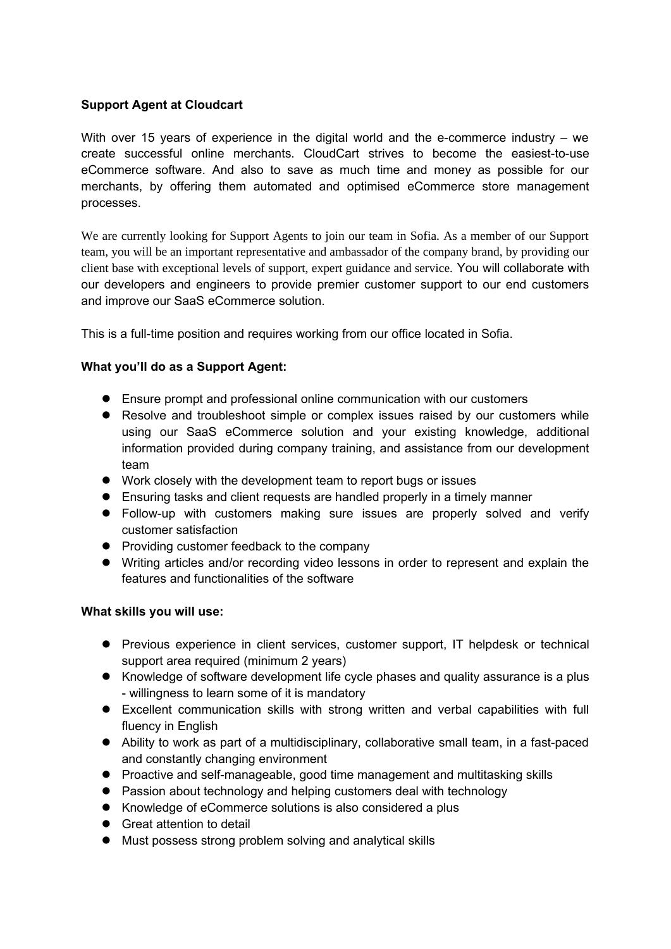# **Support Agent at Cloudcart**

With over 15 years of experience in the digital world and the e-commerce industry – we create successful online merchants. CloudCart strives to become the easiest-to-use eCommerce software. And also to save as much time and money as possible for our merchants, by offering them automated and optimised eCommerce store management processes.

We are currently looking for Support Agents to join our team in Sofia. As a member of our Support team, you will be an important representative and ambassador of the company brand, by providing our client base with exceptional levels of support, expert guidance and service. You will collaborate with our developers and engineers to provide premier customer support to our end customers and improve our SaaS eCommerce solution.

This is a full-time position and requires working from our office located in Sofia.

# **What you'll do as a Support Agent:**

- Ensure prompt and professional online communication with our customers
- Resolve and troubleshoot simple or complex issues raised by our customers while using our SaaS eCommerce solution and your existing knowledge, additional information provided during company training, and assistance from our development team
- Work closely with the development team to report bugs or issues
- Ensuring tasks and client requests are handled properly in a timely manner
- Follow-up with customers making sure issues are properly solved and verify customer satisfaction
- Providing customer feedback to the company
- Writing articles and/or recording video lessons in order to represent and explain the features and functionalities of the software

### **What skills you will use:**

- Previous experience in client services, customer support, IT helpdesk or technical support area required (minimum 2 years)
- Knowledge of software development life cycle phases and quality assurance is a plus - willingness to learn some of it is mandatory
- Excellent communication skills with strong written and verbal capabilities with full fluency in English
- Ability to work as part of a multidisciplinary, collaborative small team, in a fast-paced and constantly changing environment
- Proactive and self-manageable, good time management and multitasking skills
- Passion about technology and helping customers deal with technology
- Knowledge of eCommerce solutions is also considered a plus
- **•** Great attention to detail
- Must possess strong problem solving and analytical skills